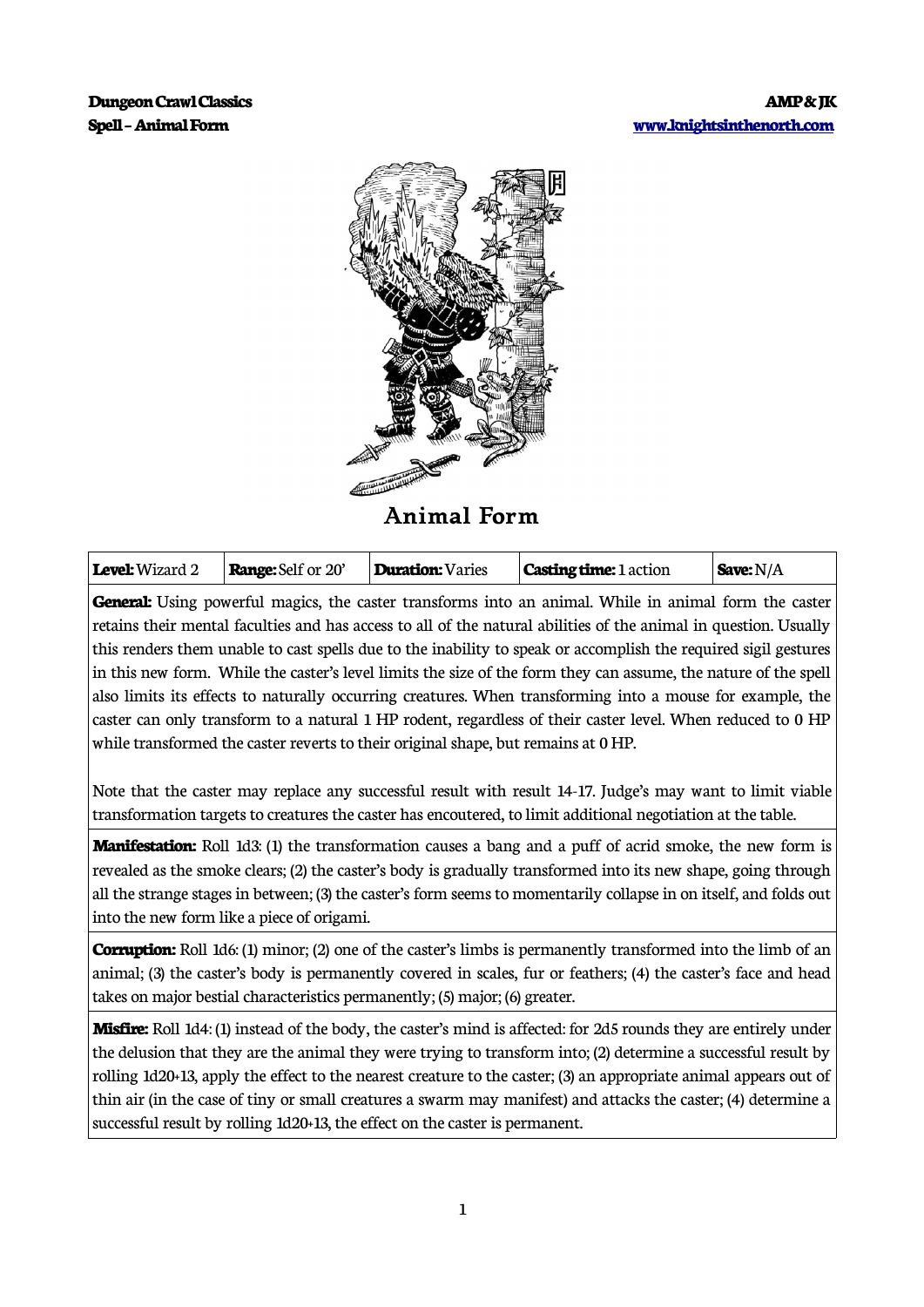

**Animal Form**

| <b>Level:</b> Wizard 2<br><b>Range:</b> Self or 20' | Duration: Varies | <b>Casting time:</b> 1 action | Save: $N/A$ |
|-----------------------------------------------------|------------------|-------------------------------|-------------|
|-----------------------------------------------------|------------------|-------------------------------|-------------|

General: Using powerful magics, the caster transforms into an animal. While in animal form the caster retains their mental faculties and has access to all of the natural abilities of the animal in question. Usually this renders them unable to cast spells due to the inability to speak or accomplish the required sigil gestures in this new form. While the caster's level limits the size of the form they can assume, the nature of the spell also limits its effects to naturally occurring creatures. When transforming into a mouse for example, the caster can only transform to a natural 1 HP rodent, regardless of their caster level. When reduced to 0 HP while transformed the caster reverts to their original shape, but remains at 0 HP.

Note that the caster may replace any successful result with result 14-17. Judge's may want to limit viable transformation targets to creatures the caster has encoutered, to limit additional negotiation at the table.

**Manifestation:** Roll 1d3: (1) the transformation causes a bang and a puff of acrid smoke, the new form is revealed as the smoke clears; (2) the caster's body is gradually transformed into its new shape, going through all the strange stages in between; (3) the caster's form seems to momentarily collapse in on itself, and folds out into the new form like a piece of origami.

**Corruption:** Roll 1d6: (1) minor; (2) one of the caster's limbs is permanently transformed into the limb of an animal; (3) the caster's body is permanently covered in scales, fur or feathers; (4) the caster's face and head takes on major bestial characteristics permanently; (5) major; (6) greater.

**Misfire:** Roll 1d4: (1) instead of the body, the caster's mind is affected: for 2d5 rounds they are entirely under the delusion that they are the animal they were trying to transform into; (2) determine a successful result by rolling 1d20+13, apply the effect to the nearest creature to the caster; (3) an appropriate animal appears out of thin air (in the case of tiny or small creatures a swarm may manifest) and attacks the caster; (4) determine a successful result by rolling 1d20+13, the effect on the caster is permanent.